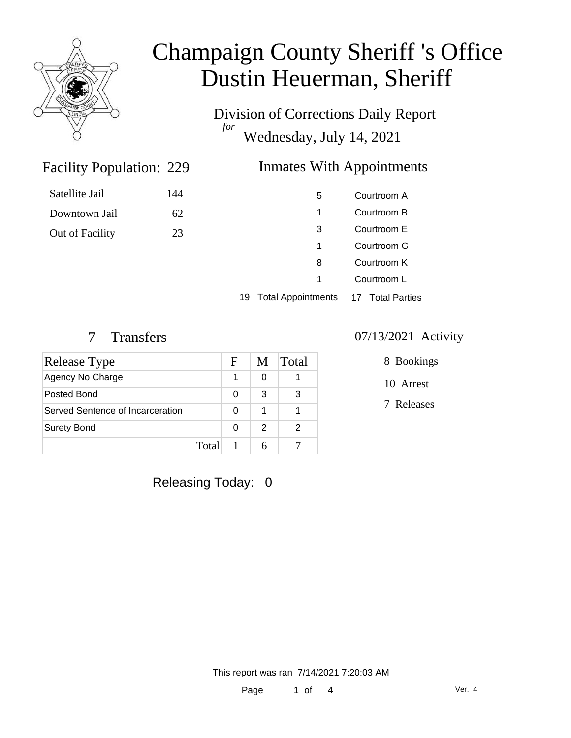

Satellite Jail

Downtown Jail

Out of Facility

# Champaign County Sheriff 's Office Dustin Heuerman, Sheriff

Division of Corrections Daily Report *for* Wednesday, July 14, 2021

### Inmates With Appointments

| 144 |  |  |
|-----|--|--|
| 62  |  |  |
| 23  |  |  |
|     |  |  |

| 5 | Courtroom A |
|---|-------------|
| 1 | Courtroom B |
| 3 | Courtroom F |
| 1 | Courtroom G |
| 8 | Courtroom K |
| 1 | Courtroom L |
|   |             |

19 Total Appointments 17 Total Parties

Facility Population: 229

| Release Type                     | F | M | Total |
|----------------------------------|---|---|-------|
| Agency No Charge                 |   |   |       |
| Posted Bond                      | O | 3 |       |
| Served Sentence of Incarceration | ი |   |       |
| <b>Surety Bond</b>               | ŋ | 2 |       |
| Total                            |   | 6 |       |

### 7 Transfers 07/13/2021 Activity

8 Bookings

10 Arrest

7 Releases

Releasing Today: 0

This report was ran 7/14/2021 7:20:03 AM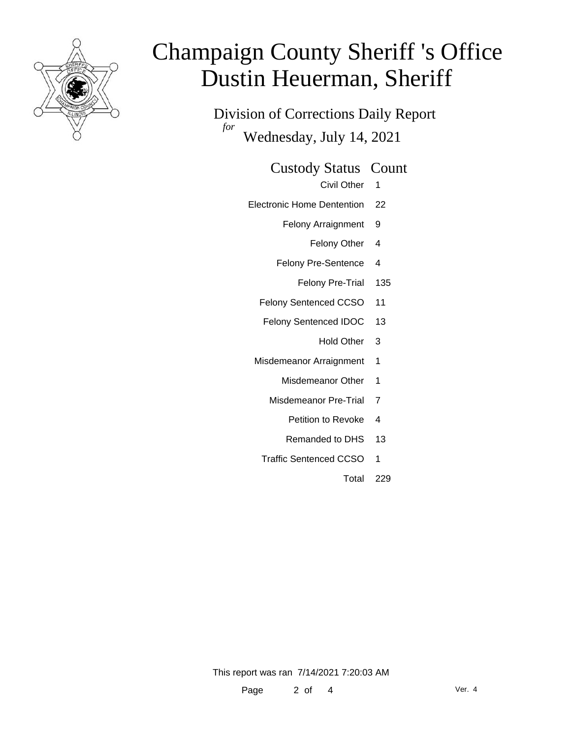

# Champaign County Sheriff 's Office Dustin Heuerman, Sheriff

Division of Corrections Daily Report *for* Wednesday, July 14, 2021

#### Custody Status Count

- Civil Other 1
- Electronic Home Dentention 22
	- Felony Arraignment 9
		- Felony Other 4
	- Felony Pre-Sentence 4
		- Felony Pre-Trial 135
	- Felony Sentenced CCSO 11
	- Felony Sentenced IDOC 13
		- Hold Other 3
	- Misdemeanor Arraignment 1
		- Misdemeanor Other 1
		- Misdemeanor Pre-Trial 7
			- Petition to Revoke 4
			- Remanded to DHS 13
		- Traffic Sentenced CCSO 1
			- Total 229

This report was ran 7/14/2021 7:20:03 AM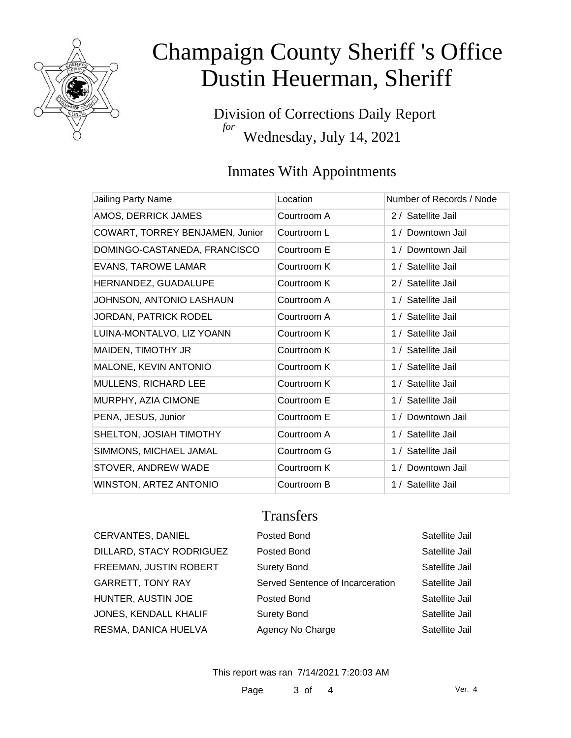

# Champaign County Sheriff 's Office Dustin Heuerman, Sheriff

Division of Corrections Daily Report *for* Wednesday, July 14, 2021

### Inmates With Appointments

| Jailing Party Name              | Location    | Number of Records / Node |
|---------------------------------|-------------|--------------------------|
| AMOS, DERRICK JAMES             | Courtroom A | 2 / Satellite Jail       |
| COWART, TORREY BENJAMEN, Junior | Courtroom L | 1 / Downtown Jail        |
| DOMINGO-CASTANEDA, FRANCISCO    | Courtroom E | 1 / Downtown Jail        |
| <b>EVANS, TAROWE LAMAR</b>      | Courtroom K | 1 / Satellite Jail       |
| HERNANDEZ, GUADALUPE            | Courtroom K | 2 / Satellite Jail       |
| JOHNSON, ANTONIO LASHAUN        | Courtroom A | 1 / Satellite Jail       |
| <b>JORDAN, PATRICK RODEL</b>    | Courtroom A | 1 / Satellite Jail       |
| LUINA-MONTALVO, LIZ YOANN       | Courtroom K | 1 / Satellite Jail       |
| MAIDEN, TIMOTHY JR              | Courtroom K | 1 / Satellite Jail       |
| MALONE, KEVIN ANTONIO           | Courtroom K | 1 / Satellite Jail       |
| MULLENS, RICHARD LEE            | Courtroom K | 1 / Satellite Jail       |
| MURPHY, AZIA CIMONE             | Courtroom E | 1 / Satellite Jail       |
| PENA, JESUS, Junior             | Courtroom E | 1 / Downtown Jail        |
| SHELTON, JOSIAH TIMOTHY         | Courtroom A | 1 / Satellite Jail       |
| SIMMONS, MICHAEL JAMAL          | Courtroom G | 1 / Satellite Jail       |
| STOVER, ANDREW WADE             | Courtroom K | 1 / Downtown Jail        |
| WINSTON, ARTEZ ANTONIO          | Courtroom B | 1 / Satellite Jail       |

### **Transfers**

| CERVANTES, DANIEL        | Posted Bond                      | Satellite Jail |
|--------------------------|----------------------------------|----------------|
| DILLARD, STACY RODRIGUEZ | Posted Bond                      | Satellite Jail |
| FREEMAN, JUSTIN ROBERT   | <b>Surety Bond</b>               | Satellite Jail |
| GARRETT, TONY RAY        | Served Sentence of Incarceration | Satellite Jail |
| HUNTER, AUSTIN JOE       | Posted Bond                      | Satellite Jail |
| JONES, KENDALL KHALIF    | <b>Surety Bond</b>               | Satellite Jail |
| RESMA, DANICA HUELVA     | Agency No Charge                 | Satellite Jail |
|                          |                                  |                |

This report was ran 7/14/2021 7:20:03 AM